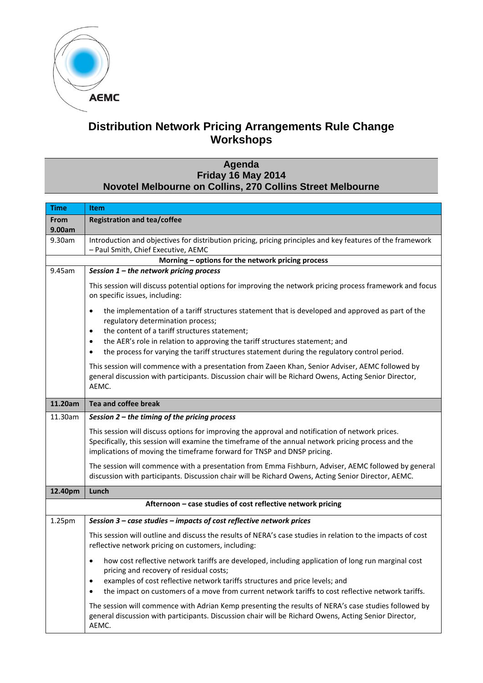

## **Distribution Network Pricing Arrangements Rule Change Workshops**

## **Agenda Friday 16 May 2014 Novotel Melbourne on Collins, 270 Collins Street Melbourne**

| <b>Time</b>                                                 | <b>Item</b>                                                                                                                                                                                                                                                                        |  |
|-------------------------------------------------------------|------------------------------------------------------------------------------------------------------------------------------------------------------------------------------------------------------------------------------------------------------------------------------------|--|
| From                                                        | <b>Registration and tea/coffee</b>                                                                                                                                                                                                                                                 |  |
| 9.00am                                                      |                                                                                                                                                                                                                                                                                    |  |
| 9.30am                                                      | Introduction and objectives for distribution pricing, pricing principles and key features of the framework<br>- Paul Smith, Chief Executive, AEMC                                                                                                                                  |  |
| Morning - options for the network pricing process           |                                                                                                                                                                                                                                                                                    |  |
| 9.45am                                                      | Session 1 - the network pricing process                                                                                                                                                                                                                                            |  |
|                                                             | This session will discuss potential options for improving the network pricing process framework and focus<br>on specific issues, including:                                                                                                                                        |  |
|                                                             | the implementation of a tariff structures statement that is developed and approved as part of the<br>$\bullet$<br>regulatory determination process;<br>the content of a tariff structures statement;<br>$\bullet$                                                                  |  |
|                                                             | the AER's role in relation to approving the tariff structures statement; and                                                                                                                                                                                                       |  |
|                                                             | $\bullet$<br>the process for varying the tariff structures statement during the regulatory control period.<br>$\bullet$                                                                                                                                                            |  |
|                                                             | This session will commence with a presentation from Zaeen Khan, Senior Adviser, AEMC followed by<br>general discussion with participants. Discussion chair will be Richard Owens, Acting Senior Director,<br>AEMC.                                                                 |  |
| 11.20am                                                     | Tea and coffee break                                                                                                                                                                                                                                                               |  |
| 11.30am                                                     | Session 2 - the timing of the pricing process                                                                                                                                                                                                                                      |  |
|                                                             | This session will discuss options for improving the approval and notification of network prices.<br>Specifically, this session will examine the timeframe of the annual network pricing process and the<br>implications of moving the timeframe forward for TNSP and DNSP pricing. |  |
|                                                             | The session will commence with a presentation from Emma Fishburn, Adviser, AEMC followed by general<br>discussion with participants. Discussion chair will be Richard Owens, Acting Senior Director, AEMC.                                                                         |  |
| 12.40pm                                                     | Lunch                                                                                                                                                                                                                                                                              |  |
| Afternoon - case studies of cost reflective network pricing |                                                                                                                                                                                                                                                                                    |  |
| 1.25pm                                                      | Session 3 - case studies - impacts of cost reflective network prices                                                                                                                                                                                                               |  |
|                                                             | This session will outline and discuss the results of NERA's case studies in relation to the impacts of cost<br>reflective network pricing on customers, including:                                                                                                                 |  |
|                                                             | how cost reflective network tariffs are developed, including application of long run marginal cost<br>$\bullet$<br>pricing and recovery of residual costs;<br>examples of cost reflective network tariffs structures and price levels; and<br>$\bullet$                            |  |
|                                                             | the impact on customers of a move from current network tariffs to cost reflective network tariffs.<br>$\bullet$                                                                                                                                                                    |  |
|                                                             | The session will commence with Adrian Kemp presenting the results of NERA's case studies followed by<br>general discussion with participants. Discussion chair will be Richard Owens, Acting Senior Director,<br>AEMC.                                                             |  |